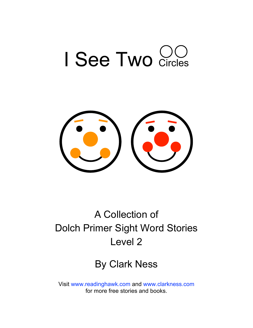



#### A Collection of Dolch Primer Sight Word Stories Level 2

#### By Clark Ness

Visit [www.readinghawk.com](http://www.readinghawk.com) and [www.clarkness.com](http://www.clarkness.com) for more free stories and books.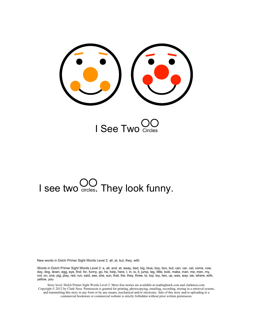



# I see two  $\bigcup_{\text{circles}}$ . They look funny.

New words in Dolch Primer Sight Words Level 2: all, at, but, they, with

Words in Dolch Primer Sight Words Level 2: a, all, and, at, away, bed, big, blue, boy, box, but, can, car, cat, come, cow, day, dog, down, egg, eye, find, for, funny, go, he, help, here, I, in, is, it, jump, leg, little, look, make, man, me, men, my, not, on, one, pig, play, red, run, said, see, she, sun, that, the, they, three, to, top, toy, two, up, was, way, we, where, with, yellow, you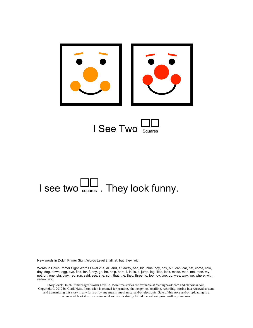

## I see two  $\Box$  They look funny.

New words in Dolch Primer Sight Words Level 2: all, at, but, they, with

Words in Dolch Primer Sight Words Level 2: a, all, and, at, away, bed, big, blue, boy, box, but, can, car, cat, come, cow, day, dog, down, egg, eye, find, for, funny, go, he, help, here, I, in, is, it, jump, leg, little, look, make, man, me, men, my, not, on, one, pig, play, red, run, said, see, she, sun, that, the, they, three, to, top, toy, two, up, was, way, we, where, with, yellow, you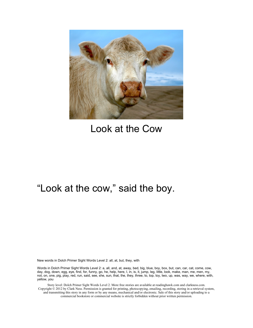

#### Look at the Cow

#### "Look at the cow," said the boy.

New words in Dolch Primer Sight Words Level 2: all, at, but, they, with

Words in Dolch Primer Sight Words Level 2: a, all, and, at, away, bed, big, blue, boy, box, but, can, car, cat, come, cow, day, dog, down, egg, eye, find, for, funny, go, he, help, here, I, in, is, it, jump, leg, little, look, make, man, me, men, my, not, on, one, pig, play, red, run, said, see, she, sun, that, the, they, three, to, top, toy, two, up, was, way, we, where, with, yellow, you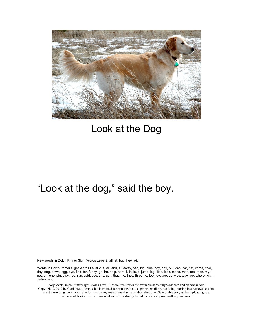

#### Look at the Dog

#### "Look at the dog," said the boy.

New words in Dolch Primer Sight Words Level 2: all, at, but, they, with

Words in Dolch Primer Sight Words Level 2: a, all, and, at, away, bed, big, blue, boy, box, but, can, car, cat, come, cow, day, dog, down, egg, eye, find, for, funny, go, he, help, here, I, in, is, it, jump, leg, little, look, make, man, me, men, my, not, on, one, pig, play, red, run, said, see, she, sun, that, the, they, three, to, top, toy, two, up, was, way, we, where, with, yellow, you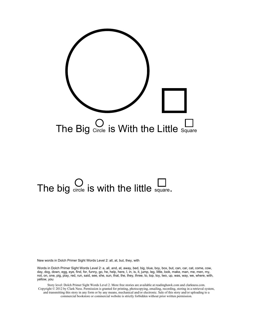

# The big  $\bigcirc$  is with the little square.

New words in Dolch Primer Sight Words Level 2: all, at, but, they, with

Words in Dolch Primer Sight Words Level 2: a, all, and, at, away, bed, big, blue, boy, box, but, can, car, cat, come, cow, day, dog, down, egg, eye, find, for, funny, go, he, help, here, I, in, is, it, jump, leg, little, look, make, man, me, men, my, not, on, one, pig, play, red, run, said, see, she, sun, that, the, they, three, to, top, toy, two, up, was, way, we, where, with, yellow, you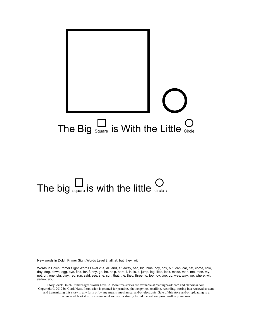

# The big  $\sum_{\text{square}}$  is with the little  $\sum_{\text{circle}}$ .

New words in Dolch Primer Sight Words Level 2: all, at, but, they, with

Words in Dolch Primer Sight Words Level 2: a, all, and, at, away, bed, big, blue, boy, box, but, can, car, cat, come, cow, day, dog, down, egg, eye, find, for, funny, go, he, help, here, I, in, is, it, jump, leg, little, look, make, man, me, men, my, not, on, one, pig, play, red, run, said, see, she, sun, that, the, they, three, to, top, toy, two, up, was, way, we, where, with, yellow, you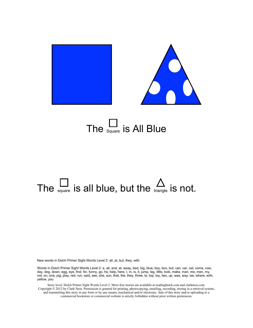

## The  $\frac{\square}{\text{square}}$  is All Blue

## The  $\frac{1}{\omega_{\text{square}}}$  is all blue, but the  $\frac{1}{\omega_{\text{triangle}}}$  is not.

New words in Dolch Primer Sight Words Level 2: all, at, but, they, with

Words in Dolch Primer Sight Words Level 2: a, all, and, at, away, bed, big, blue, boy, box, but, can, car, cat, come, cow, day, dog, down, egg, eye, find, for, funny, go, he, help, here, I, in, is, it, jump, leg, little, look, make, man, me, men, my, not, on, one, pig, play, red, run, said, see, she, sun, that, the, they, three, to, top, toy, two, up, was, way, we, where, with, yellow, you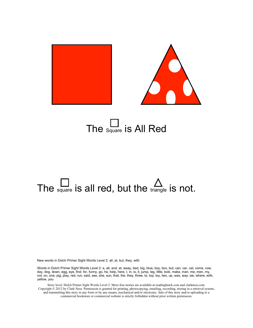

### The  $\frac{L}{\text{Square}}$  is All Red

## The square is all red, but the  $\triangle$  triangle is not.

New words in Dolch Primer Sight Words Level 2: all, at, but, they, with

Words in Dolch Primer Sight Words Level 2: a, all, and, at, away, bed, big, blue, boy, box, but, can, car, cat, come, cow, day, dog, down, egg, eye, find, for, funny, go, he, help, here, I, in, is, it, jump, leg, little, look, make, man, me, men, my, not, on, one, pig, play, red, run, said, see, she, sun, that, the, they, three, to, top, toy, two, up, was, way, we, where, with, yellow, you